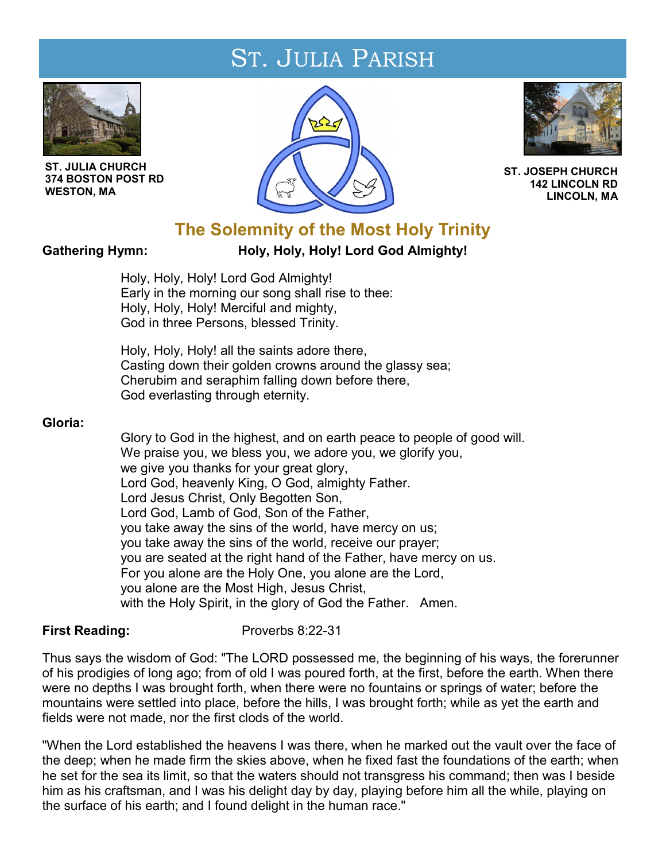# ST. JULIA PARISH



**ST. JULIA CHURCH 374 BOSTON POST RD WESTON, MA** 





**ST. JOSEPH CHURCH 142 LINCOLN RD LINCOLN, MA**

# **The Solemnity of the Most Holy Trinity**

# Gathering Hymn: **Holy, Holy, Holy! Lord God Almighty!**

Holy, Holy, Holy! Lord God Almighty! Early in the morning our song shall rise to thee: Holy, Holy, Holy! Merciful and mighty, God in three Persons, blessed Trinity.

Holy, Holy, Holy! all the saints adore there, Casting down their golden crowns around the glassy sea; Cherubim and seraphim falling down before there, God everlasting through eternity.

# **Gloria:**

Glory to God in the highest, and on earth peace to people of good will. We praise you, we bless you, we adore you, we glorify you, we give you thanks for your great glory, Lord God, heavenly King, O God, almighty Father. Lord Jesus Christ, Only Begotten Son, Lord God, Lamb of God, Son of the Father, you take away the sins of the world, have mercy on us; you take away the sins of the world, receive our prayer; you are seated at the right hand of the Father, have mercy on us. For you alone are the Holy One, you alone are the Lord, you alone are the Most High, Jesus Christ, with the Holy Spirit, in the glory of God the Father. Amen.

# **First Reading:** Proverbs 8:22-31

Thus says the wisdom of God: "The LORD possessed me, the beginning of his ways, the forerunner of his prodigies of long ago; from of old I was poured forth, at the first, before the earth. When there were no depths I was brought forth, when there were no fountains or springs of water; before the mountains were settled into place, before the hills, I was brought forth; while as yet the earth and fields were not made, nor the first clods of the world.

"When the Lord established the heavens I was there, when he marked out the vault over the face of the deep; when he made firm the skies above, when he fixed fast the foundations of the earth; when he set for the sea its limit, so that the waters should not transgress his command; then was I beside him as his craftsman, and I was his delight day by day, playing before him all the while, playing on the surface of his earth; and I found delight in the human race."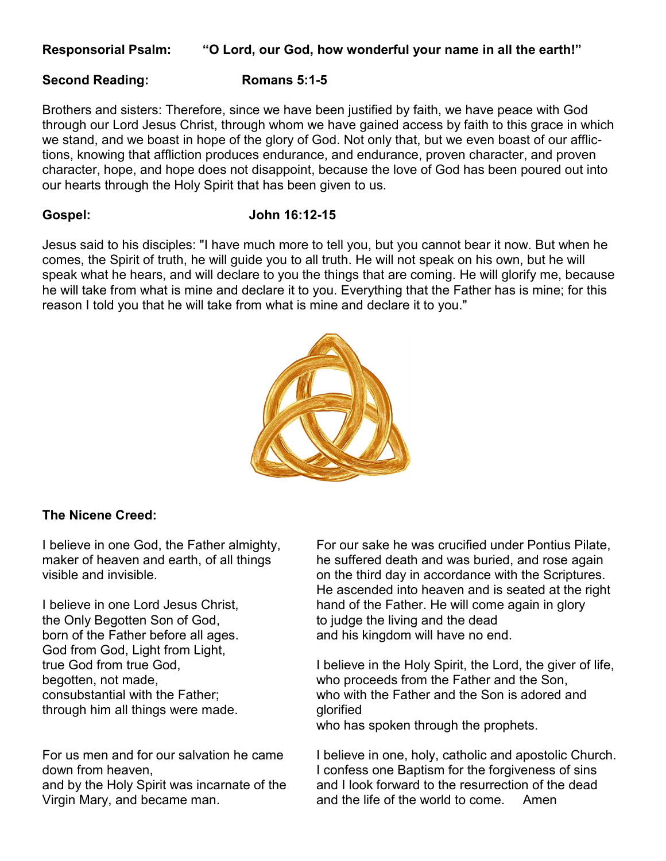# **Responsorial Psalm: "O Lord, our God, how wonderful your name in all the earth!"**

### **Second Reading: Romans 5:1-5**

Brothers and sisters: Therefore, since we have been justified by faith, we have peace with God through our Lord Jesus Christ, through whom we have gained access by faith to this grace in which we stand, and we boast in hope of the glory of God. Not only that, but we even boast of our afflictions, knowing that affliction produces endurance, and endurance, proven character, and proven character, hope, and hope does not disappoint, because the love of God has been poured out into our hearts through the Holy Spirit that has been given to us.

# **Gospel: John 16:12-15**

Jesus said to his disciples: "I have much more to tell you, but you cannot bear it now. But when he comes, the Spirit of truth, he will guide you to all truth. He will not speak on his own, but he will speak what he hears, and will declare to you the things that are coming. He will glorify me, because he will take from what is mine and declare it to you. Everything that the Father has is mine; for this reason I told you that he will take from what is mine and declare it to you."



# **The Nicene Creed:**

the Only Begotten Son of God, the judge the living and the dead born of the Father before all ages. and his kingdom will have no end. God from God, Light from Light, through him all things were made. glorified

I believe in one God, the Father almighty, For our sake he was crucified under Pontius Pilate, maker of heaven and earth, of all things he suffered death and was buried, and rose again visible and invisible.  $\blacksquare$  on the third day in accordance with the Scriptures. He ascended into heaven and is seated at the right I believe in one Lord Jesus Christ, hand of the Father. He will come again in glory

true God from true God, The I believe in the Holy Spirit, the Lord, the giver of life, begotten, not made, who proceeds from the Father and the Son, consubstantial with the Father; who with the Father and the Son is adored and

who has spoken through the prophets.

For us men and for our salvation he came I believe in one, holy, catholic and apostolic Church. down from heaven, The same I confess one Baptism for the forgiveness of sins and by the Holy Spirit was incarnate of the and I look forward to the resurrection of the dead Virgin Mary, and became man. All and the life of the world to come. Amen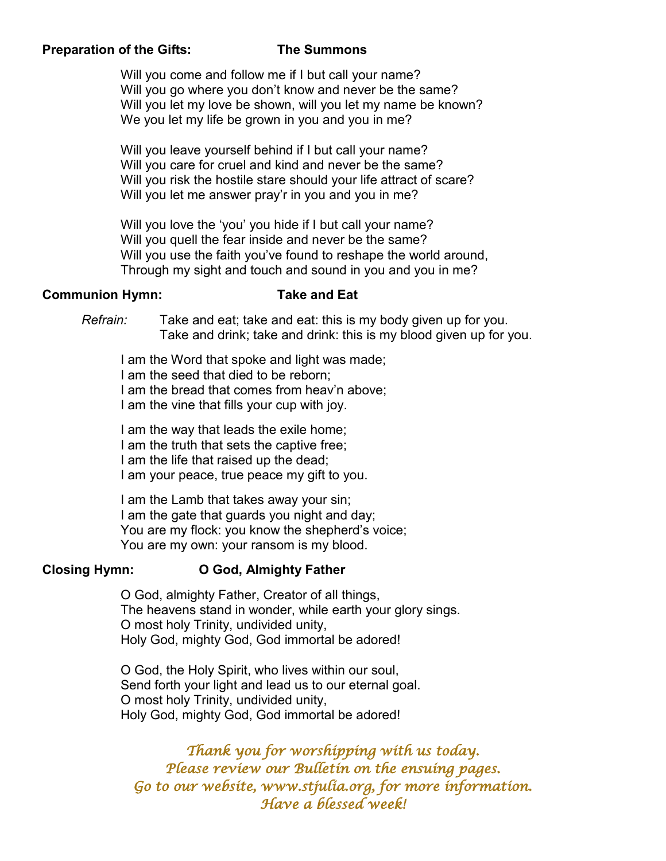# **Preparation of the Gifts: The Summons**

Will you come and follow me if I but call your name? Will you go where you don't know and never be the same? Will you let my love be shown, will you let my name be known? We you let my life be grown in you and you in me?

Will you leave yourself behind if I but call your name? Will you care for cruel and kind and never be the same? Will you risk the hostile stare should your life attract of scare? Will you let me answer pray'r in you and you in me?

Will you love the 'you' you hide if I but call your name? Will you quell the fear inside and never be the same? Will you use the faith you've found to reshape the world around, Through my sight and touch and sound in you and you in me?

# **Communion Hymn: Take and Eat**

*Refrain:* Take and eat; take and eat: this is my body given up for you. Take and drink; take and drink: this is my blood given up for you.

I am the Word that spoke and light was made;

I am the seed that died to be reborn;

I am the bread that comes from heav'n above;

I am the vine that fills your cup with joy.

I am the way that leads the exile home;

I am the truth that sets the captive free;

I am the life that raised up the dead;

I am your peace, true peace my gift to you.

I am the Lamb that takes away your sin;

I am the gate that guards you night and day;

You are my flock: you know the shepherd's voice;

You are my own: your ransom is my blood.

# **Closing Hymn: O God, Almighty Father**

O God, almighty Father, Creator of all things, The heavens stand in wonder, while earth your glory sings. O most holy Trinity, undivided unity, Holy God, mighty God, God immortal be adored!

O God, the Holy Spirit, who lives within our soul, Send forth your light and lead us to our eternal goal. O most holy Trinity, undivided unity, Holy God, mighty God, God immortal be adored!

*Thank you for worshipping with us today. Please review our Bulletin on the ensuing pages. Go to our website, www.stjulia.org, for more information. Have a blessed week!*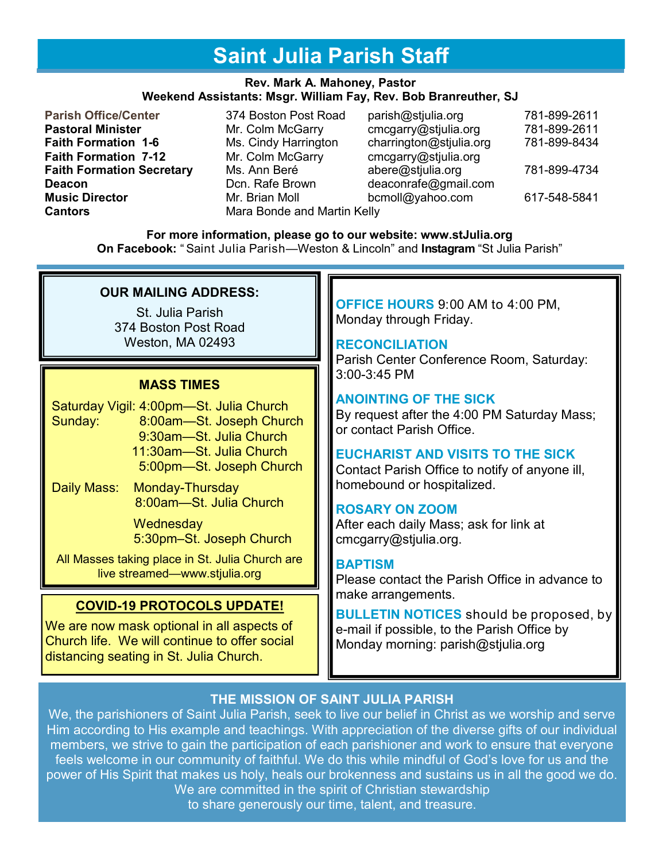# **Saint Julia Parish Staff**

#### **Rev. Mark A. Mahoney, Pastor Weekend Assistants: Msgr. William Fay, Rev. Bob Branreuther, SJ**

- **Faith Formation 7-12** Mr. Colm McGarry cmcgarry@stjulia.org **Deacon Deacon Deacon Deaconrafe@gmail.com Deaconrafe@gmail.com Cantors** Mara Bonde and Martin Kelly
- 
- **Parish Office/Center** 374 Boston Post Road parish@stjulia.org 781-899-2611 **Pastoral Minister** Mr. Colm McGarry cmcgarry@stjulia.org 781-899-2611 **Faith Formation 1-6** Ms. Cindy Harrington charrington@stjulia.org 781-899-8434 **Faith Formation Secretary** Ms. Ann Beré **abere@stjulia.org 781-899-4734 Music Director Mr. Brian Moll bcmoll@yahoo.com** 617-548-5841

**For more information, please go to our website: www.stJulia.org On Facebook:** " Saint Julia Parish—Weston & Lincoln" and **Instagram** "St Julia Parish"

# **OUR MAILING ADDRESS:**

St. Julia Parish 374 Boston Post Road Weston, MA 02493

# **MASS TIMES**

- Saturday Vigil: 4:00pm—St. Julia Church Sunday: 8:00am—St. Joseph Church 9:30am—St. Julia Church 11:30am—St. Julia Church 5:00pm—St. Joseph Church
- Daily Mass: Monday-Thursday 8:00am—St. Julia Church

**Wednesday** 5:30pm–St. Joseph Church

All Masses taking place in St. Julia Church are live streamed—www.stjulia.org

# **COVID-19 PROTOCOLS UPDATE!**

We are now mask optional in all aspects of Church life. We will continue to offer social distancing seating in St. Julia Church.

# **OFFICE HOURS** 9:00 AM to 4:00 PM, Monday through Friday.

# **RECONCILIATION**

Parish Center Conference Room, Saturday: 3:00-3:45 PM

# **ANOINTING OF THE SICK**

By request after the 4:00 PM Saturday Mass; or contact Parish Office.

# **EUCHARIST AND VISITS TO THE SICK**

Contact Parish Office to notify of anyone ill, homebound or hospitalized.

# **ROSARY ON ZOOM**

After each daily Mass; ask for link at cmcgarry@stjulia.org.

# **BAPTISM**

Please contact the Parish Office in advance to make arrangements.

**BULLETIN NOTICES** should be proposed, by e-mail if possible, to the Parish Office by Monday morning: parish@stjulia.org

# **THE MISSION OF SAINT JULIA PARISH**

We, the parishioners of Saint Julia Parish, seek to live our belief in Christ as we worship and serve Him according to His example and teachings. With appreciation of the diverse gifts of our individual members, we strive to gain the participation of each parishioner and work to ensure that everyone feels welcome in our community of faithful. We do this while mindful of God's love for us and the power of His Spirit that makes us holy, heals our brokenness and sustains us in all the good we do. We are committed in the spirit of Christian stewardship

to share generously our time, talent, and treasure.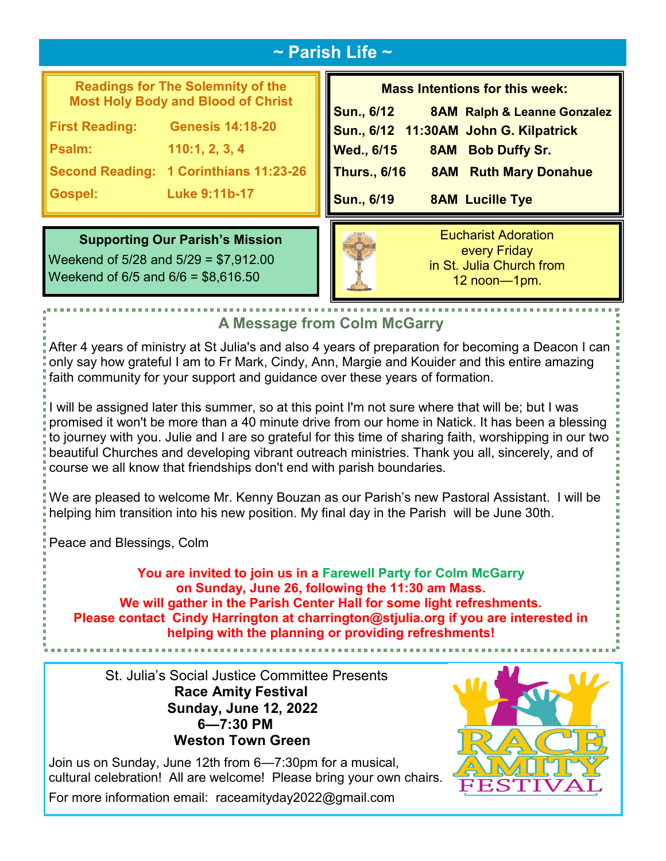# **~ Parish Life ~**

# **Readings for The Solemnity of the Most Holy Body and Blood of Christ**

**First Reading: Genesis 14:18-20**

**Psalm: 110:1, 2, 3, 4** 

**Second Reading: 1 Corinthians 11:23-26**

**Gospel: Luke 9:11b-17**

# **Mass Intentions for this week: Sun., 6/12 8AM Ralph & Leanne Gonzalez Sun., 6/12 11:30AM John G. Kilpatrick Wed., 6/15 8AM Bob Duffy Sr. Thurs., 6/16 8AM Ruth Mary Donahue Sun., 6/19 8AM Lucille Tye**

# **Supporting Our Parish's Mission**

Weekend of 5/28 and 5/29 = \$7,912.00 Weekend of 6/5 and 6/6 = \$8,616.50



Eucharist Adoration every Friday in St. Julia Church from 12 noon—1pm.

# **A Message from Colm McGarry**

After 4 years of ministry at St Julia's and also 4 years of preparation for becoming a Deacon I can only say how grateful I am to Fr Mark, Cindy, Ann, Margie and Kouider and this entire amazing faith community for your support and guidance over these years of formation.

I will be assigned later this summer, so at this point I'm not sure where that will be; but I was promised it won't be more than a 40 minute drive from our home in Natick. It has been a blessing to journey with you. Julie and I are so grateful for this time of sharing faith, worshipping in our two beautiful Churches and developing vibrant outreach ministries. Thank you all, sincerely, and of course we all know that friendships don't end with parish boundaries.

We are pleased to welcome Mr. Kenny Bouzan as our Parish's new Pastoral Assistant. I will be helping him transition into his new position. My final day in the Parish will be June 30th.

Peace and Blessings, Colm

**You are invited to join us in a Farewell Party for Colm McGarry on Sunday, June 26, following the 11:30 am Mass. We will gather in the Parish Center Hall for some light refreshments. Please contact Cindy Harrington at charrington@stjulia.org if you are interested in helping with the planning or providing refreshments!**

St. Julia's Social Justice Committee Presents **Race Amity Festival Sunday, June 12, 2022 6—7:30 PM Weston Town Green** 

cultural celebration! All are welcome! Please bring your own chairs. For more information email: raceamityday2022@gmail.com

Join us on Sunday, June 12th from 6—7:30pm for a musical,